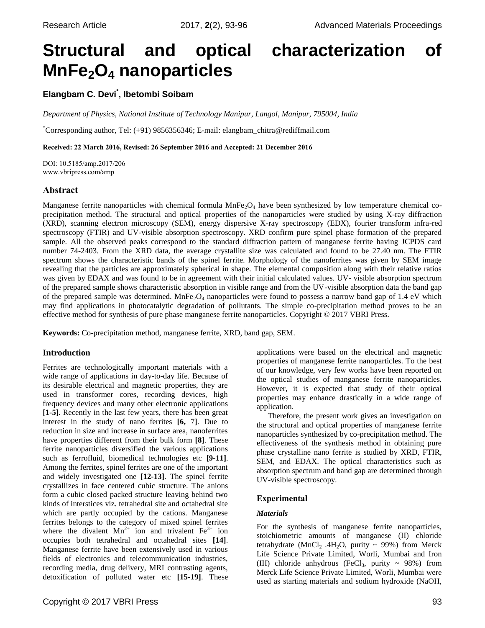# **Structural and optical characterization of MnFe2O<sup>4</sup> nanoparticles**

# **Elangbam C. Devi\* , Ibetombi Soibam**

*Department of Physics, National Institute of Technology Manipur, Langol, Manipur, 795004, India*

\*Corresponding author, Tel: (+91) 9856356346; E-mail: elangbam\_chitra@rediffmail.com

**Received: 22 March 2016, Revised: 26 September 2016 and Accepted: 21 December 2016**

DOI: 10.5185/amp.2017/206 www.vbripress.com/amp

## **Abstract**

Manganese ferrite nanoparticles with chemical formula  $MnFe<sub>2</sub>O<sub>4</sub>$  have been synthesized by low temperature chemical coprecipitation method. The structural and optical properties of the nanoparticles were studied by using X-ray diffraction (XRD), scanning electron microscopy (SEM), energy dispersive X-ray spectroscopy (EDX), fourier transform infra-red spectroscopy (FTIR) and UV-visible absorption spectroscopy. XRD confirm pure spinel phase formation of the prepared sample. All the observed peaks correspond to the standard diffraction pattern of manganese ferrite having JCPDS card number 74-2403. From the XRD data, the average crystallite size was calculated and found to be 27.40 nm. The FTIR spectrum shows the characteristic bands of the spinel ferrite. Morphology of the nanoferrites was given by SEM image revealing that the particles are approximately spherical in shape. The elemental composition along with their relative ratios was given by EDAX and was found to be in agreement with their initial calculated values. UV- visible absorption spectrum of the prepared sample shows characteristic absorption in visible range and from the UV-visible absorption data the band gap of the prepared sample was determined.  $MnFe<sub>2</sub>O<sub>4</sub>$  nanoparticles were found to possess a narrow band gap of 1.4 eV which may find applications in photocatalytic degradation of pollutants. The simple co-precipitation method proves to be an effective method for synthesis of pure phase manganese ferrite nanoparticles. Copyright © 2017 VBRI Press.

**Keywords:** Co-precipitation method, manganese ferrite, XRD, band gap, SEM.

## **Introduction**

Ferrites are technologically important materials with a wide range of applications in day-to-day life. Because of its desirable electrical and magnetic properties, they are used in transformer cores, recording devices, high frequency devices and many other electronic applications **[1-5]**. Recently in the last few years, there has been great interest in the study of nano ferrites **[6,** 7**]**. Due to reduction in size and increase in surface area, nanoferrites have properties different from their bulk form **[8]**. These ferrite nanoparticles diversified the various applications such as ferrofluid, biomedical technologies etc **[9-11]**. Among the ferrites, spinel ferrites are one of the important and widely investigated one **[12-13]**. The spinel ferrite crystallizes in face centered cubic structure. The anions form a cubic closed packed structure leaving behind two kinds of interstices viz. tetrahedral site and octahedral site which are partly occupied by the cations. Manganese ferrites belongs to the category of mixed spinel ferrites where the divalent  $Mn^{2+}$  ion and trivalent  $Fe^{3+}$  ion occupies both tetrahedral and octahedral sites **[14]**. Manganese ferrite have been extensively used in various fields of electronics and telecommunication industries, recording media, drug delivery, MRI contrasting agents, detoxification of polluted water etc **[15-19]**. These applications were based on the electrical and magnetic properties of manganese ferrite nanoparticles. To the best of our knowledge, very few works have been reported on the optical studies of manganese ferrite nanoparticles. However, it is expected that study of their optical properties may enhance drastically in a wide range of application.

Therefore, the present work gives an investigation on the structural and optical properties of manganese ferrite nanoparticles synthesized by co-precipitation method. The effectiveness of the synthesis method in obtaining pure phase crystalline nano ferrite is studied by XRD, FTIR, SEM, and EDAX. The optical characteristics such as absorption spectrum and band gap are determined through UV-visible spectroscopy.

## **Experimental**

## *Materials*

For the synthesis of manganese ferrite nanoparticles, stoichiometric amounts of manganese (II) chloride tetrahydrate (MnCl<sub>2</sub> .4H<sub>2</sub>O, purity ~ 99%) from Merck Life Science Private Limited, Worli, Mumbai and Iron (III) chloride anhydrous (FeCl<sub>3</sub>, purity  $\sim$  98%) from Merck Life Science Private Limited, Worli, Mumbai were used as starting materials and sodium hydroxide (NaOH,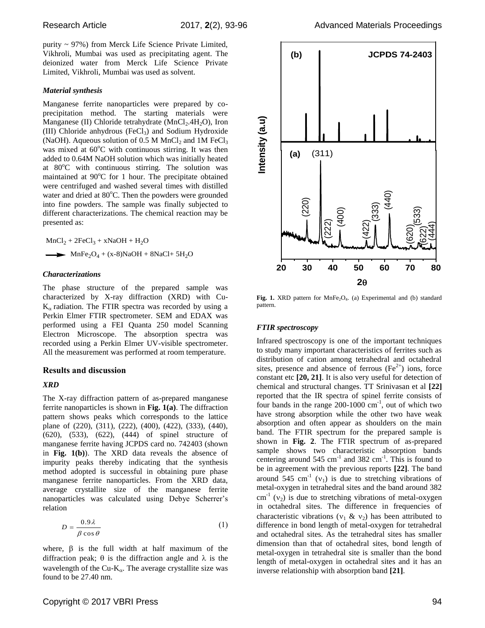purity ~ 97%) from Merck Life Science Private Limited, Vikhroli, Mumbai was used as precipitating agent. The deionized water from Merck Life Science Private Limited, Vikhroli, Mumbai was used as solvent.

#### *Material synthesis*

Manganese ferrite nanoparticles were prepared by coprecipitation method. The starting materials were Manganese (II) Chloride tetrahydrate  $(MnCl<sub>2</sub>.4H<sub>2</sub>O)$ , Iron (III) Chloride anhydrous  $(FeCl<sub>3</sub>)$  and Sodium Hydroxide (NaOH). Aqueous solution of 0.5 M MnCl<sub>2</sub> and 1M FeCl<sub>3</sub> was mixed at  $60^{\circ}$ C with continuous stirring. It was then added to 0.64M NaOH solution which was initially heated at 80°C with continuous stirring. The solution was maintained at  $90^{\circ}$ C for 1 hour. The precipitate obtained were centrifuged and washed several times with distilled water and dried at 80°C. Then the powders were grounded into fine powders. The sample was finally subjected to different characterizations. The chemical reaction may be presented as:

 $MnCl<sub>2</sub> + 2FeCl<sub>3</sub> + xNaOH + H<sub>2</sub>O$  $\longrightarrow$  MnFe<sub>2</sub>O<sub>4</sub> + (x-8)NaOH + 8NaCl+ 5H<sub>2</sub>O

#### *Characterizations*

The phase structure of the prepared sample was characterized by X-ray diffraction (XRD) with Cu- $K_{\alpha}$  radiation. The FTIR spectra was recorded by using a Perkin Elmer FTIR spectrometer. SEM and EDAX was performed using a FEI Quanta 250 model Scanning Electron Microscope. The absorption spectra was recorded using a Perkin Elmer UV-visible spectrometer. All the measurement was performed at room temperature.

#### **Results and discussion**

#### *XRD*

The X-ray diffraction pattern of as-prepared manganese ferrite nanoparticles is shown in **Fig. 1(a)**. The diffraction pattern shows peaks which corresponds to the lattice plane of (220), (311), (222), (400), (422), (333), (440), (620), (533), (622), (444) of spinel structure of manganese ferrite having JCPDS card no. 742403 (shown in **Fig. 1(b)**). The XRD data reveals the absence of impurity peaks thereby indicating that the synthesis method adopted is successful in obtaining pure phase manganese ferrite nanoparticles. From the XRD data, average crystallite size of the manganese ferrite nanoparticles was calculated using Debye Scherrer's relation

$$
D = \frac{0.9\lambda}{\beta \cos \theta} \tag{1}
$$

where,  $\beta$  is the full width at half maximum of the diffraction peak;  $\theta$  is the diffraction angle and  $\lambda$  is the wavelength of the Cu- $K_{\alpha}$ . The average crystallite size was found to be 27.40 nm.



Fig. 1. XRD pattern for MnFe<sub>2</sub>O<sub>4</sub>. (a) Experimental and (b) standard pattern.

#### *FTIR spectroscopy*

Infrared spectroscopy is one of the important techniques to study many important characteristics of ferrites such as distribution of cation among tetrahedral and octahedral sites, presence and absence of ferrous  $(Fe^{2+})$  ions, force constant etc **[20, 21]**. It is also very useful for detection of chemical and structural changes. TT Srinivasan et al **[22]** reported that the IR spectra of spinel ferrite consists of four bands in the range  $200-1000$  cm<sup>-1</sup>, out of which two have strong absorption while the other two have weak absorption and often appear as shoulders on the main band. The FTIR spectrum for the prepared sample is shown in **Fig. 2**. The FTIR spectrum of as-prepared sample shows two characteristic absorption bands centering around  $545 \text{ cm}^{-1}$  and  $382 \text{ cm}^{-1}$ . This is found to be in agreement with the previous reports **[22]**. The band around 545 cm<sup>-1</sup> ( $v_1$ ) is due to stretching vibrations of metal-oxygen in tetrahedral sites and the band around 382  $\text{cm}^{-1}$  ( $v_2$ ) is due to stretching vibrations of metal-oxygen in octahedral sites. The difference in frequencies of characteristic vibrations ( $v_1 \& v_2$ ) has been attributed to difference in bond length of metal-oxygen for tetrahedral and octahedral sites. As the tetrahedral sites has smaller dimension than that of octahedral sites, bond length of metal-oxygen in tetrahedral site is smaller than the bond length of metal-oxygen in octahedral sites and it has an inverse relationship with absorption band **[21]**.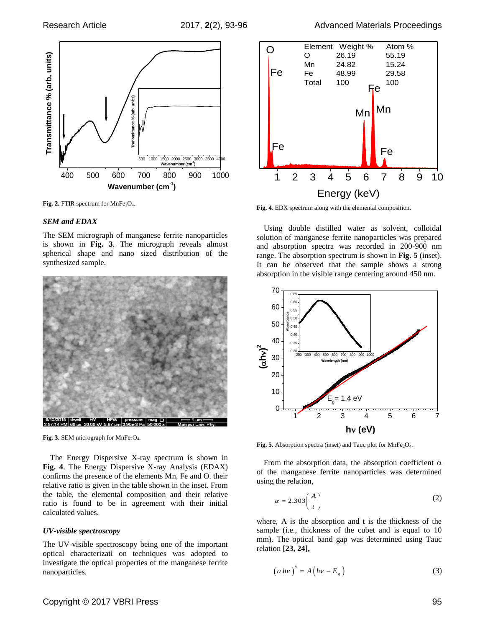

Fig. 2. FTIR spectrum for MnFe<sub>2</sub>O<sub>4</sub>.

#### *SEM and EDAX*

The SEM micrograph of manganese ferrite nanoparticles is shown in **Fig. 3**. The micrograph reveals almost spherical shape and nano sized distribution of the synthesized sample.



**Fig. 3.** SEM micrograph for MnFe<sub>2</sub>O<sub>4</sub>.

The Energy Dispersive X-ray spectrum is shown in **Fig. 4**. The Energy Dispersive X-ray Analysis (EDAX) confirms the presence of the elements Mn, Fe and O. their relative ratio is given in the table shown in the inset. From the table, the elemental composition and their relative ratio is found to be in agreement with their initial calculated values.

#### *UV-visible spectroscopy*

The UV-visible spectroscopy being one of the important optical characterizati on techniques was adopted to investigate the optical properties of the manganese ferrite nanoparticles.



**Fig. 4**. EDX spectrum along with the elemental composition.

Using double distilled water as solvent, colloidal solution of manganese ferrite nanoparticles was prepared and absorption spectra was recorded in 200-900 nm range. The absorption spectrum is shown in **Fig. 5** (inset). It can be observed that the sample shows a strong absorption in the visible range centering around 450 nm.



Fig. 5. Absorption spectra (inset) and Tauc plot for MnFe<sub>2</sub>O<sub>4</sub>.

From the absorption data, the absorption coefficient  $\alpha$ of the manganese ferrite nanoparticles was determined using the relation,

$$
\alpha = 2.303 \left( \frac{A}{t} \right) \tag{2}
$$

where, A is the absorption and t is the thickness of the sample (i.e., thickness of the cubet and is equal to 10 mm). The optical band gap was determined using Tauc relation **[23, 24],**

$$
\left(\alpha h\nu\right)^n = A\left(h\nu - E_g\right) \tag{3}
$$